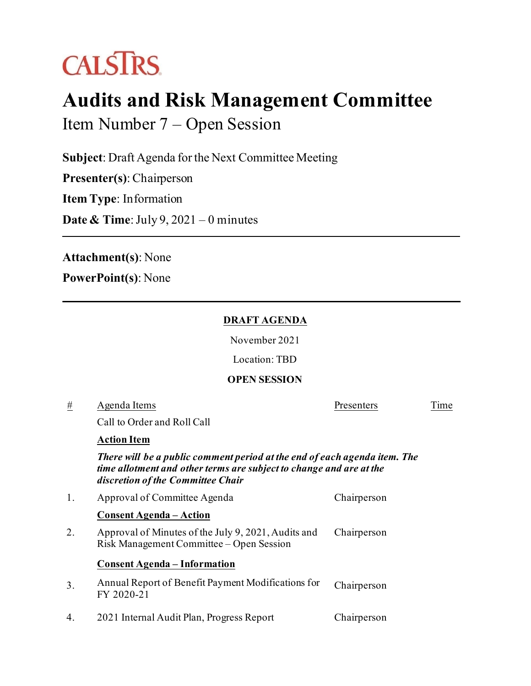# **CALSTRS**

## **Audits and Risk Management Committee**

Item Number 7 – Open Session

**Subject**: Draft Agenda for the Next Committee Meeting

**Presenter(s)**: Chairperson

**Item Type**: Information

**Date & Time**: July 9, 2021 – 0 minutes

**Attachment(s)**: None

**PowerPoint(s)**: None

#### **DRAFT AGENDA**

November 2021

Location: TBD

### **OPEN SESSION**

# Agenda Items Presenters Time

Call to Order and Roll Call

#### **Action Item**

*There will be a public comment period at the end of each agenda item. The time allotment and other terms are subject to change and are at the discretion of the Committee Chair*

|    | Approval of Committee Agenda                                                                    | Chairperson |
|----|-------------------------------------------------------------------------------------------------|-------------|
|    | <b>Consent Agenda – Action</b>                                                                  |             |
| 2. | Approval of Minutes of the July 9, 2021, Audits and<br>Risk Management Committee – Open Session | Chairperson |
|    | <b>Consent Agenda – Information</b>                                                             |             |
| 3. | Annual Report of Benefit Payment Modifications for<br>FY 2020-21                                | Chairperson |
| 4. | 2021 Internal Audit Plan, Progress Report                                                       | Chairperson |